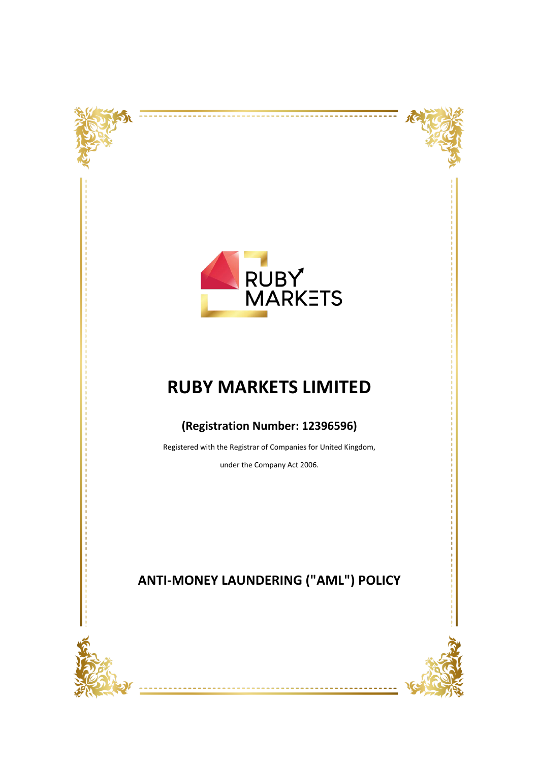



-------



# **RUBY MARKETS LIMITED**

### **(Registration Number: 12396596)**

Registered with the Registrar of Companies for United Kingdom,

under the Company Act 2006.



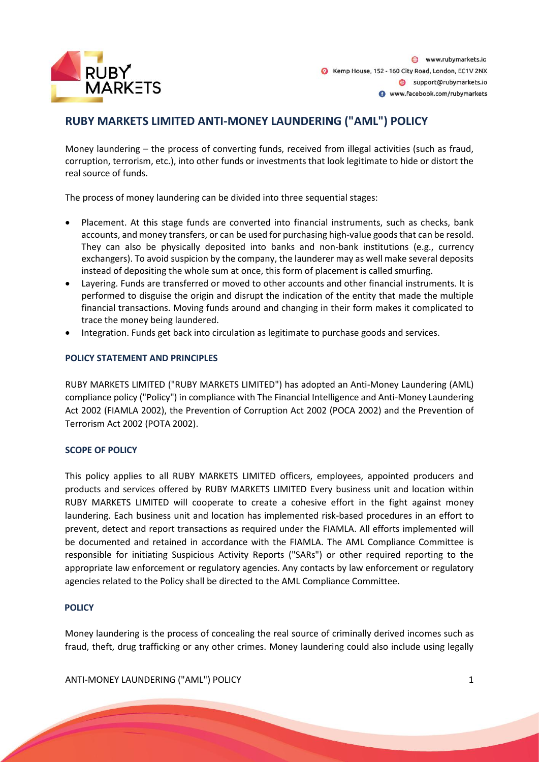

### **RUBY MARKETS LIMITED ANTI-MONEY LAUNDERING ("AML") POLICY**

Money laundering – the process of converting funds, received from illegal activities (such as fraud, corruption, terrorism, etc.), into other funds or investments that look legitimate to hide or distort the real source of funds.

The process of money laundering can be divided into three sequential stages:

- Placement. At this stage funds are converted into financial instruments, such as checks, bank accounts, and money transfers, or can be used for purchasing high-value goods that can be resold. They can also be physically deposited into banks and non-bank institutions (e.g., currency exchangers). To avoid suspicion by the company, the launderer may as well make several deposits instead of depositing the whole sum at once, this form of placement is called smurfing.
- Layering. Funds are transferred or moved to other accounts and other financial instruments. It is performed to disguise the origin and disrupt the indication of the entity that made the multiple financial transactions. Moving funds around and changing in their form makes it complicated to trace the money being laundered.
- Integration. Funds get back into circulation as legitimate to purchase goods and services.

#### **POLICY STATEMENT AND PRINCIPLES**

RUBY MARKETS LIMITED ("RUBY MARKETS LIMITED") has adopted an Anti-Money Laundering (AML) compliance policy ("Policy") in compliance with The Financial Intelligence and Anti-Money Laundering Act 2002 (FIAMLA 2002), the Prevention of Corruption Act 2002 (POCA 2002) and the Prevention of Terrorism Act 2002 (POTA 2002).

#### **SCOPE OF POLICY**

This policy applies to all RUBY MARKETS LIMITED officers, employees, appointed producers and products and services offered by RUBY MARKETS LIMITED Every business unit and location within RUBY MARKETS LIMITED will cooperate to create a cohesive effort in the fight against money laundering. Each business unit and location has implemented risk-based procedures in an effort to prevent, detect and report transactions as required under the FIAMLA. All efforts implemented will be documented and retained in accordance with the FIAMLA. The AML Compliance Committee is responsible for initiating Suspicious Activity Reports ("SARs") or other required reporting to the appropriate law enforcement or regulatory agencies. Any contacts by law enforcement or regulatory agencies related to the Policy shall be directed to the AML Compliance Committee.

#### **POLICY**

Money laundering is the process of concealing the real source of criminally derived incomes such as fraud, theft, drug trafficking or any other crimes. Money laundering could also include using legally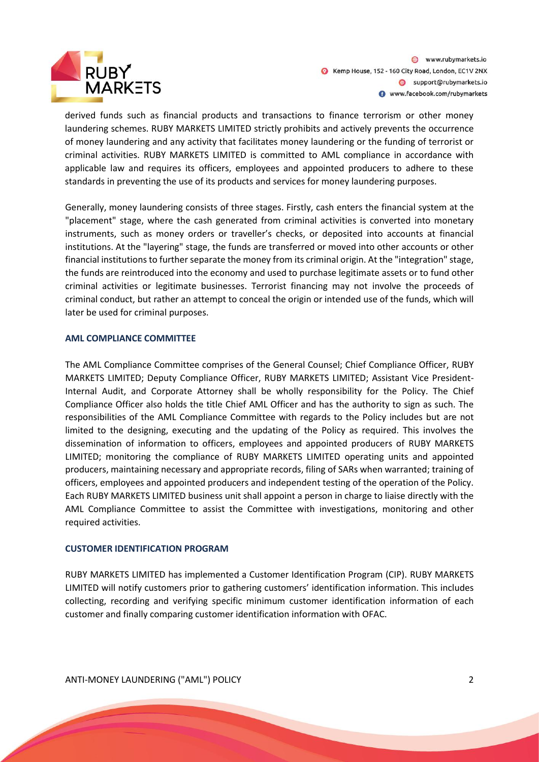

derived funds such as financial products and transactions to finance terrorism or other money laundering schemes. RUBY MARKETS LIMITED strictly prohibits and actively prevents the occurrence of money laundering and any activity that facilitates money laundering or the funding of terrorist or criminal activities. RUBY MARKETS LIMITED is committed to AML compliance in accordance with applicable law and requires its officers, employees and appointed producers to adhere to these standards in preventing the use of its products and services for money laundering purposes.

Generally, money laundering consists of three stages. Firstly, cash enters the financial system at the "placement" stage, where the cash generated from criminal activities is converted into monetary instruments, such as money orders or traveller's checks, or deposited into accounts at financial institutions. At the "layering" stage, the funds are transferred or moved into other accounts or other financial institutions to further separate the money from its criminal origin. At the "integration" stage, the funds are reintroduced into the economy and used to purchase legitimate assets or to fund other criminal activities or legitimate businesses. Terrorist financing may not involve the proceeds of criminal conduct, but rather an attempt to conceal the origin or intended use of the funds, which will later be used for criminal purposes.

#### **AML COMPLIANCE COMMITTEE**

The AML Compliance Committee comprises of the General Counsel; Chief Compliance Officer, RUBY MARKETS LIMITED; Deputy Compliance Officer, RUBY MARKETS LIMITED; Assistant Vice President-Internal Audit, and Corporate Attorney shall be wholly responsibility for the Policy. The Chief Compliance Officer also holds the title Chief AML Officer and has the authority to sign as such. The responsibilities of the AML Compliance Committee with regards to the Policy includes but are not limited to the designing, executing and the updating of the Policy as required. This involves the dissemination of information to officers, employees and appointed producers of RUBY MARKETS LIMITED; monitoring the compliance of RUBY MARKETS LIMITED operating units and appointed producers, maintaining necessary and appropriate records, filing of SARs when warranted; training of officers, employees and appointed producers and independent testing of the operation of the Policy. Each RUBY MARKETS LIMITED business unit shall appoint a person in charge to liaise directly with the AML Compliance Committee to assist the Committee with investigations, monitoring and other required activities.

#### **CUSTOMER IDENTIFICATION PROGRAM**

RUBY MARKETS LIMITED has implemented a Customer Identification Program (CIP). RUBY MARKETS LIMITED will notify customers prior to gathering customers' identification information. This includes collecting, recording and verifying specific minimum customer identification information of each customer and finally comparing customer identification information with OFAC.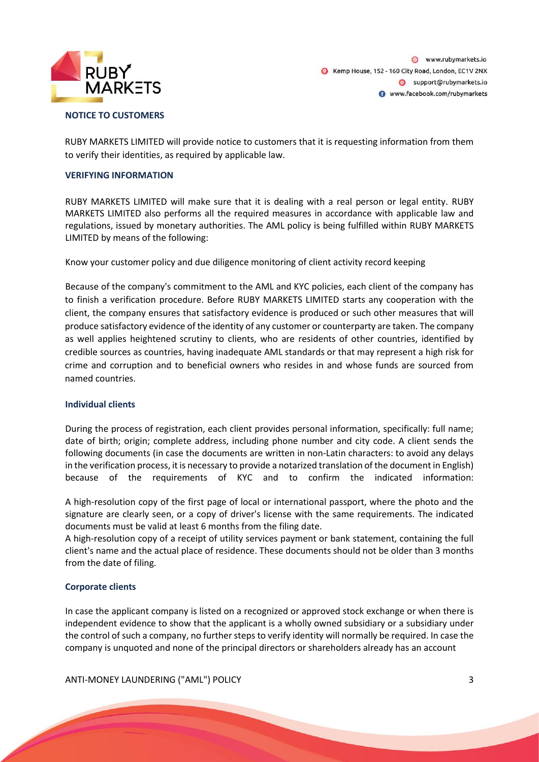

www.rubymarkets.io Kemp House, 152 - 160 City Road, London, EC1V 2NX Support@rubymarkets.io www.facebook.com/rubymarkets

#### **NOTICE TO CUSTOMERS**

RUBY MARKETS LIMITED will provide notice to customers that it is requesting information from them to verify their identities, as required by applicable law.

#### **VERIFYING INFORMATION**

RUBY MARKETS LIMITED will make sure that it is dealing with a real person or legal entity. RUBY MARKETS LIMITED also performs all the required measures in accordance with applicable law and regulations, issued by monetary authorities. The AML policy is being fulfilled within RUBY MARKETS LIMITED by means of the following:

Know your customer policy and due diligence monitoring of client activity record keeping

Because of the company's commitment to the AML and KYC policies, each client of the company has to finish a verification procedure. Before RUBY MARKETS LIMITED starts any cooperation with the client, the company ensures that satisfactory evidence is produced or such other measures that will produce satisfactory evidence of the identity of any customer or counterparty are taken. The company as well applies heightened scrutiny to clients, who are residents of other countries, identified by credible sources as countries, having inadequate AML standards or that may represent a high risk for crime and corruption and to beneficial owners who resides in and whose funds are sourced from named countries.

#### **Individual clients**

During the process of registration, each client provides personal information, specifically: full name; date of birth; origin; complete address, including phone number and city code. A client sends the following documents (in case the documents are written in non-Latin characters: to avoid any delays in the verification process, it is necessary to provide a notarized translation of the document in English) because of the requirements of KYC and to confirm the indicated information:

A high-resolution copy of the first page of local or international passport, where the photo and the signature are clearly seen, or a copy of driver's license with the same requirements. The indicated documents must be valid at least 6 months from the filing date.

A high-resolution copy of a receipt of utility services payment or bank statement, containing the full client's name and the actual place of residence. These documents should not be older than 3 months from the date of filing.

#### **Corporate clients**

In case the applicant company is listed on a recognized or approved stock exchange or when there is independent evidence to show that the applicant is a wholly owned subsidiary or a subsidiary under the control of such a company, no further steps to verify identity will normally be required. In case the company is unquoted and none of the principal directors or shareholders already has an account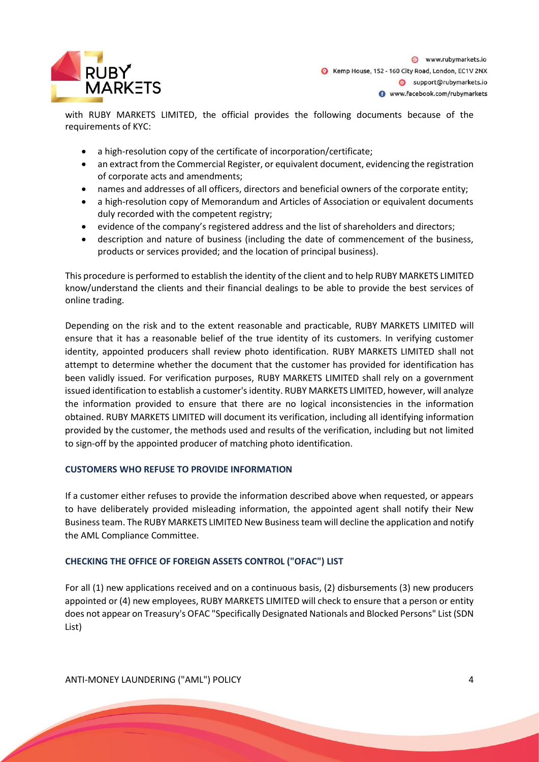

@ www.rubymarkets.jo Kemp House, 152 - 160 City Road, London, EC1V 2NX Support@rubymarkets.io www.facebook.com/rubymarkets

with RUBY MARKETS LIMITED, the official provides the following documents because of the requirements of KYC:

- a high-resolution copy of the certificate of incorporation/certificate;
- an extract from the Commercial Register, or equivalent document, evidencing the registration of corporate acts and amendments;
- names and addresses of all officers, directors and beneficial owners of the corporate entity;
- a high-resolution copy of Memorandum and Articles of Association or equivalent documents duly recorded with the competent registry;
- evidence of the company's registered address and the list of shareholders and directors;
- description and nature of business (including the date of commencement of the business, products or services provided; and the location of principal business).

This procedure is performed to establish the identity of the client and to help RUBY MARKETS LIMITED know/understand the clients and their financial dealings to be able to provide the best services of online trading.

Depending on the risk and to the extent reasonable and practicable, RUBY MARKETS LIMITED will ensure that it has a reasonable belief of the true identity of its customers. In verifying customer identity, appointed producers shall review photo identification. RUBY MARKETS LIMITED shall not attempt to determine whether the document that the customer has provided for identification has been validly issued. For verification purposes, RUBY MARKETS LIMITED shall rely on a government issued identification to establish a customer's identity. RUBY MARKETS LIMITED, however, will analyze the information provided to ensure that there are no logical inconsistencies in the information obtained. RUBY MARKETS LIMITED will document its verification, including all identifying information provided by the customer, the methods used and results of the verification, including but not limited to sign-off by the appointed producer of matching photo identification.

#### **CUSTOMERS WHO REFUSE TO PROVIDE INFORMATION**

If a customer either refuses to provide the information described above when requested, or appears to have deliberately provided misleading information, the appointed agent shall notify their New Business team. The RUBY MARKETS LIMITED New Business team will decline the application and notify the AML Compliance Committee.

#### **CHECKING THE OFFICE OF FOREIGN ASSETS CONTROL ("OFAC") LIST**

For all (1) new applications received and on a continuous basis, (2) disbursements (3) new producers appointed or (4) new employees, RUBY MARKETS LIMITED will check to ensure that a person or entity does not appear on Treasury's OFAC "Specifically Designated Nationals and Blocked Persons" List (SDN List)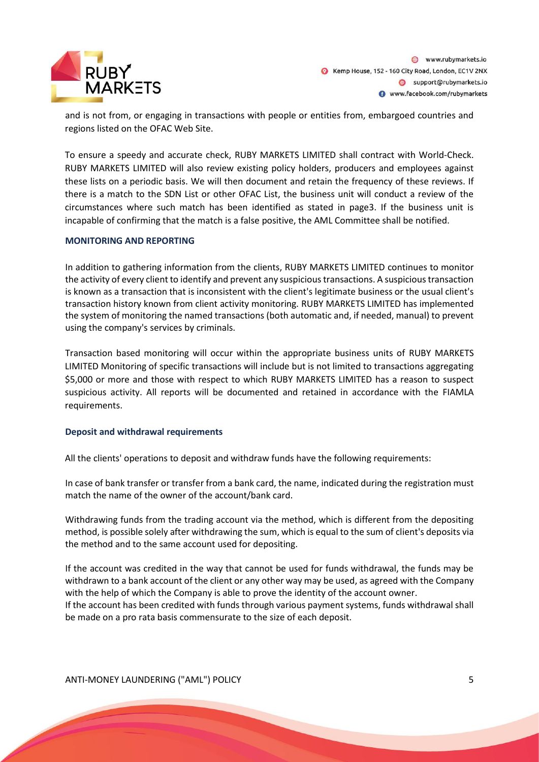

and is not from, or engaging in transactions with people or entities from, embargoed countries and regions listed on the OFAC Web Site.

To ensure a speedy and accurate check, RUBY MARKETS LIMITED shall contract with World-Check. RUBY MARKETS LIMITED will also review existing policy holders, producers and employees against these lists on a periodic basis. We will then document and retain the frequency of these reviews. If there is a match to the SDN List or other OFAC List, the business unit will conduct a review of the circumstances where such match has been identified as stated in page3. If the business unit is incapable of confirming that the match is a false positive, the AML Committee shall be notified.

#### **MONITORING AND REPORTING**

In addition to gathering information from the clients, RUBY MARKETS LIMITED continues to monitor the activity of every client to identify and prevent any suspicious transactions. A suspicious transaction is known as a transaction that is inconsistent with the client's legitimate business or the usual client's transaction history known from client activity monitoring. RUBY MARKETS LIMITED has implemented the system of monitoring the named transactions (both automatic and, if needed, manual) to prevent using the company's services by criminals.

Transaction based monitoring will occur within the appropriate business units of RUBY MARKETS LIMITED Monitoring of specific transactions will include but is not limited to transactions aggregating \$5,000 or more and those with respect to which RUBY MARKETS LIMITED has a reason to suspect suspicious activity. All reports will be documented and retained in accordance with the FIAMLA requirements.

#### **Deposit and withdrawal requirements**

All the clients' operations to deposit and withdraw funds have the following requirements:

In case of bank transfer or transfer from a bank card, the name, indicated during the registration must match the name of the owner of the account/bank card.

Withdrawing funds from the trading account via the method, which is different from the depositing method, is possible solely after withdrawing the sum, which is equal to the sum of client's deposits via the method and to the same account used for depositing.

If the account was credited in the way that cannot be used for funds withdrawal, the funds may be withdrawn to a bank account of the client or any other way may be used, as agreed with the Company with the help of which the Company is able to prove the identity of the account owner. If the account has been credited with funds through various payment systems, funds withdrawal shall be made on a pro rata basis commensurate to the size of each deposit.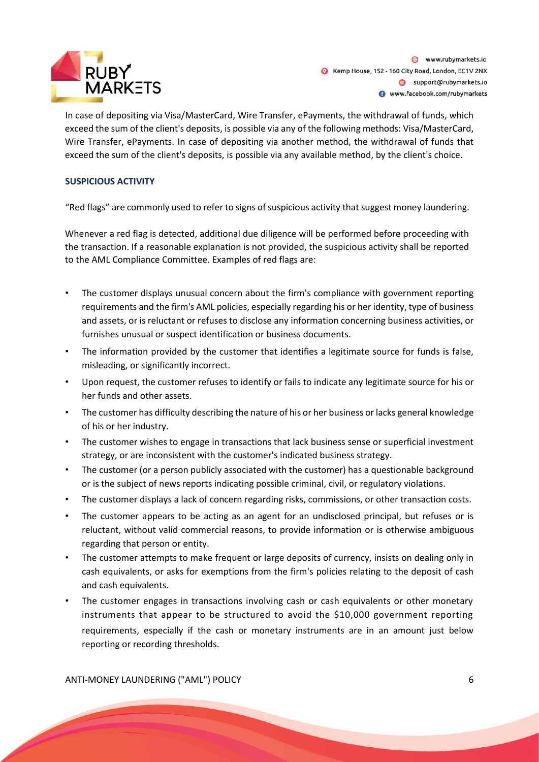

In case of depositing via Visa/MasterCard, Wire Transfer, ePayments, the withdrawal of funds, which exceed the sum of the client's deposits, is possible via any of the following methods: Visa/MasterCard, Wire Transfer, ePayments. In case of depositing via another method, the withdrawal of funds that exceed the sum of the client's deposits, is possible via any available method, by the client's choice.

#### **SUSPICIOUS ACTIVITY**

"Red flags" are commonly used to refer to signs of suspicious activity that suggest money laundering.

Whenever a red flag is detected, additional due diligence will be performed before proceeding with the transaction. If a reasonable explanation is not provided, the suspicious activity shall be reported to the AML Compliance Committee. Examples of red flags are:

- The customer displays unusual concern about the firm's compliance with government reporting requirements and the firm's AML policies, especially regarding his or her identity, type of business and assets, or is reluctant or refuses to disclose any information concerning business activities, or furnishes unusual or suspect identification or business documents.
- The information provided by the customer that identifies a legitimate source for funds is false, misleading, or significantly incorrect.
- Upon request, the customer refuses to identify or fails to indicate any legitimate source for his or her funds and other assets.
- The customer has difficulty describing the nature of his or her business or lacks general knowledge of his or her industry.
- The customer wishes to engage in transactions that lack business sense or superficial investment strategy, or are inconsistent with the customer's indicated business strategy.
- The customer (or a person publicly associated with the customer) has a questionable background or is the subject of news reports indicating possible criminal, civil, or regulatory violations.
- The customer displays a lack of concern regarding risks, commissions, or other transaction costs.
- The customer appears to be acting as an agent for an undisclosed principal, but refuses or is reluctant, without valid commercial reasons, to provide information or is otherwise ambiguous regarding that person or entity.
- The customer attempts to make frequent or large deposits of currency, insists on dealing only in cash equivalents, or asks for exemptions from the firm's policies relating to the deposit of cash and cash equivalents.
- The customer engages in transactions involving cash or cash equivalents or other monetary instruments that appear to be structured to avoid the \$10,000 government reporting requirements, especially if the cash or monetary instruments are in an amount just below reporting or recording thresholds.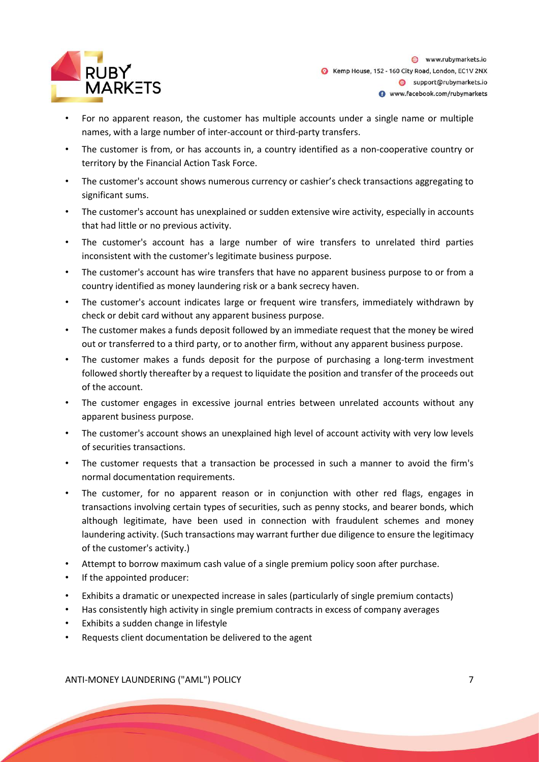

- For no apparent reason, the customer has multiple accounts under a single name or multiple names, with a large number of inter-account or third-party transfers.
- The customer is from, or has accounts in, a country identified as a non-cooperative country or territory by the Financial Action Task Force.
- The customer's account shows numerous currency or cashier's check transactions aggregating to significant sums.
- The customer's account has unexplained or sudden extensive wire activity, especially in accounts that had little or no previous activity.
- The customer's account has a large number of wire transfers to unrelated third parties inconsistent with the customer's legitimate business purpose.
- The customer's account has wire transfers that have no apparent business purpose to or from a country identified as money laundering risk or a bank secrecy haven.
- The customer's account indicates large or frequent wire transfers, immediately withdrawn by check or debit card without any apparent business purpose.
- The customer makes a funds deposit followed by an immediate request that the money be wired out or transferred to a third party, or to another firm, without any apparent business purpose.
- The customer makes a funds deposit for the purpose of purchasing a long-term investment followed shortly thereafter by a request to liquidate the position and transfer of the proceeds out of the account.
- The customer engages in excessive journal entries between unrelated accounts without any apparent business purpose.
- The customer's account shows an unexplained high level of account activity with very low levels of securities transactions.
- The customer requests that a transaction be processed in such a manner to avoid the firm's normal documentation requirements.
- The customer, for no apparent reason or in conjunction with other red flags, engages in transactions involving certain types of securities, such as penny stocks, and bearer bonds, which although legitimate, have been used in connection with fraudulent schemes and money laundering activity. (Such transactions may warrant further due diligence to ensure the legitimacy of the customer's activity.)
- Attempt to borrow maximum cash value of a single premium policy soon after purchase.
- If the appointed producer:
- Exhibits a dramatic or unexpected increase in sales (particularly of single premium contacts)
- Has consistently high activity in single premium contracts in excess of company averages
- Exhibits a sudden change in lifestyle
- Requests client documentation be delivered to the agent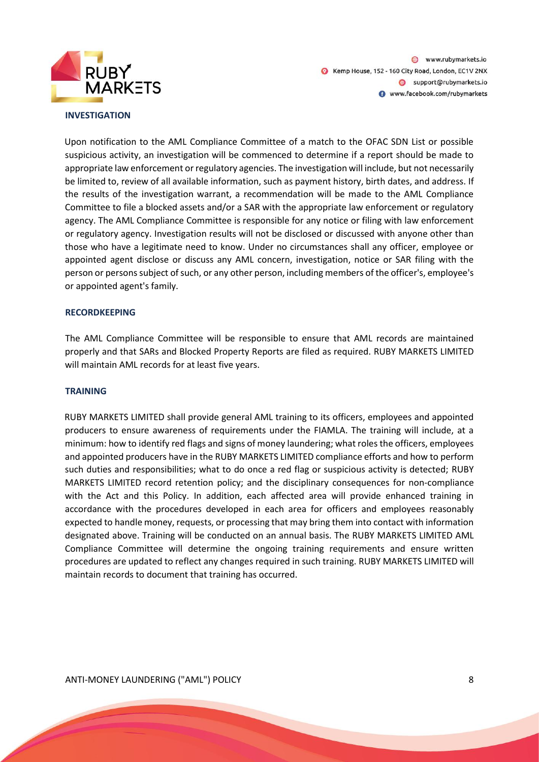

www.rubymarkets.io Kemp House, 152 - 160 City Road, London, EC1V 2NX Support@rubymarkets.io www.facebook.com/rubymarkets

#### **INVESTIGATION**

Upon notification to the AML Compliance Committee of a match to the OFAC SDN List or possible suspicious activity, an investigation will be commenced to determine if a report should be made to appropriate law enforcement or regulatory agencies. The investigation will include, but not necessarily be limited to, review of all available information, such as payment history, birth dates, and address. If the results of the investigation warrant, a recommendation will be made to the AML Compliance Committee to file a blocked assets and/or a SAR with the appropriate law enforcement or regulatory agency. The AML Compliance Committee is responsible for any notice or filing with law enforcement or regulatory agency. Investigation results will not be disclosed or discussed with anyone other than those who have a legitimate need to know. Under no circumstances shall any officer, employee or appointed agent disclose or discuss any AML concern, investigation, notice or SAR filing with the person or persons subject of such, or any other person, including members of the officer's, employee's or appointed agent's family.

#### **RECORDKEEPING**

The AML Compliance Committee will be responsible to ensure that AML records are maintained properly and that SARs and Blocked Property Reports are filed as required. RUBY MARKETS LIMITED will maintain AML records for at least five years.

#### **TRAINING**

RUBY MARKETS LIMITED shall provide general AML training to its officers, employees and appointed producers to ensure awareness of requirements under the FIAMLA. The training will include, at a minimum: how to identify red flags and signs of money laundering; what roles the officers, employees and appointed producers have in the RUBY MARKETS LIMITED compliance efforts and how to perform such duties and responsibilities; what to do once a red flag or suspicious activity is detected; RUBY MARKETS LIMITED record retention policy; and the disciplinary consequences for non-compliance with the Act and this Policy. In addition, each affected area will provide enhanced training in accordance with the procedures developed in each area for officers and employees reasonably expected to handle money, requests, or processing that may bring them into contact with information designated above. Training will be conducted on an annual basis. The RUBY MARKETS LIMITED AML Compliance Committee will determine the ongoing training requirements and ensure written procedures are updated to reflect any changes required in such training. RUBY MARKETS LIMITED will maintain records to document that training has occurred.